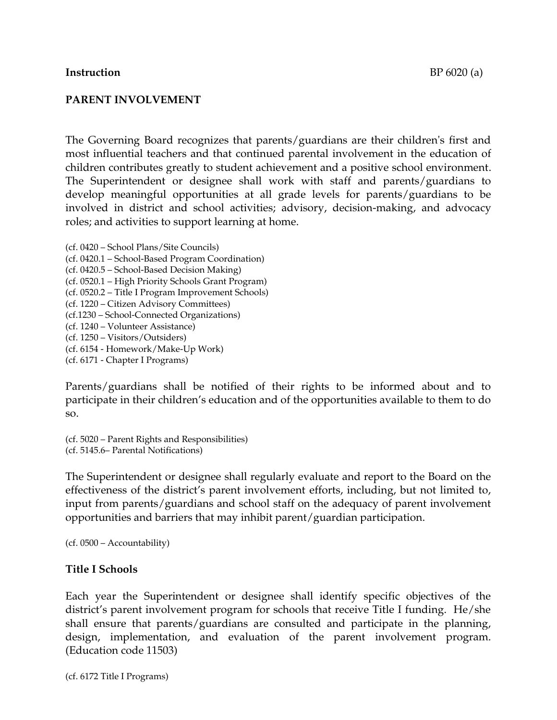#### **Instruction** BP 6020 (a)

## **PARENT INVOLVEMENT**

The Governing Board recognizes that parents/guardians are their children's first and most influential teachers and that continued parental involvement in the education of children contributes greatly to student achievement and a positive school environment. The Superintendent or designee shall work with staff and parents/guardians to develop meaningful opportunities at all grade levels for parents/guardians to be involved in district and school activities; advisory, decision-making, and advocacy roles; and activities to support learning at home.

(cf. 0420 – School Plans/Site Councils) (cf. 0420.1 – School-Based Program Coordination) (cf. 0420.5 – School-Based Decision Making) (cf. 0520.1 – High Priority Schools Grant Program) (cf. 0520.2 – Title I Program Improvement Schools) (cf. 1220 – Citizen Advisory Committees) (cf.1230 – School-Connected Organizations) (cf. 1240 – Volunteer Assistance) (cf. 1250 – Visitors/Outsiders) (cf. 6154 - Homework/Make-Up Work) (cf. 6171 - Chapter I Programs)

Parents/guardians shall be notified of their rights to be informed about and to participate in their children's education and of the opportunities available to them to do so.

(cf. 5020 – Parent Rights and Responsibilities) (cf. 5145.6– Parental Notifications)

The Superintendent or designee shall regularly evaluate and report to the Board on the effectiveness of the district's parent involvement efforts, including, but not limited to, input from parents/guardians and school staff on the adequacy of parent involvement opportunities and barriers that may inhibit parent/guardian participation.

(cf. 0500 – Accountability)

# **Title I Schools**

Each year the Superintendent or designee shall identify specific objectives of the district's parent involvement program for schools that receive Title I funding. He/she shall ensure that parents/guardians are consulted and participate in the planning, design, implementation, and evaluation of the parent involvement program. (Education code 11503)

(cf. 6172 Title I Programs)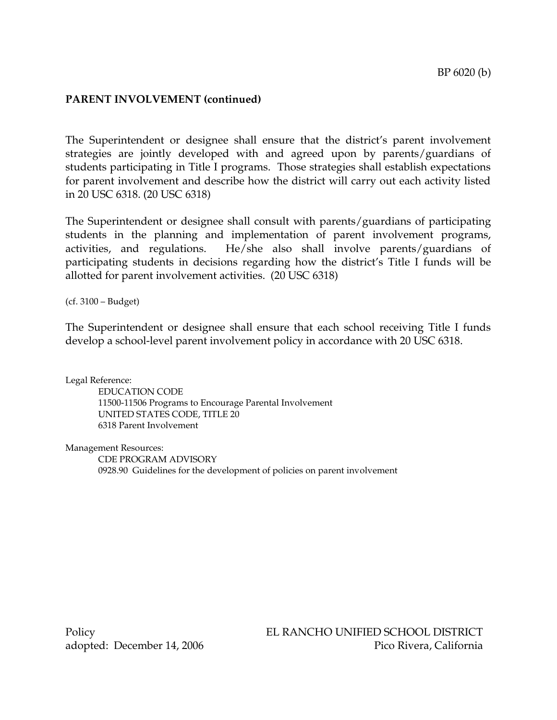The Superintendent or designee shall ensure that the district's parent involvement strategies are jointly developed with and agreed upon by parents/guardians of students participating in Title I programs. Those strategies shall establish expectations for parent involvement and describe how the district will carry out each activity listed in 20 USC 6318. (20 USC 6318)

The Superintendent or designee shall consult with parents/guardians of participating students in the planning and implementation of parent involvement programs, activities, and regulations. He/she also shall involve parents/guardians of participating students in decisions regarding how the district's Title I funds will be allotted for parent involvement activities. (20 USC 6318)

(cf. 3100 – Budget)

The Superintendent or designee shall ensure that each school receiving Title I funds develop a school-level parent involvement policy in accordance with 20 USC 6318.

Legal Reference:

EDUCATION CODE 11500-11506 Programs to Encourage Parental Involvement UNITED STATES CODE, TITLE 20 6318 Parent Involvement

Management Resources:

CDE PROGRAM ADVISORY 0928.90 Guidelines for the development of policies on parent involvement

Policy EL RANCHO UNIFIED SCHOOL DISTRICT adopted: December 14, 2006 Pico Rivera, California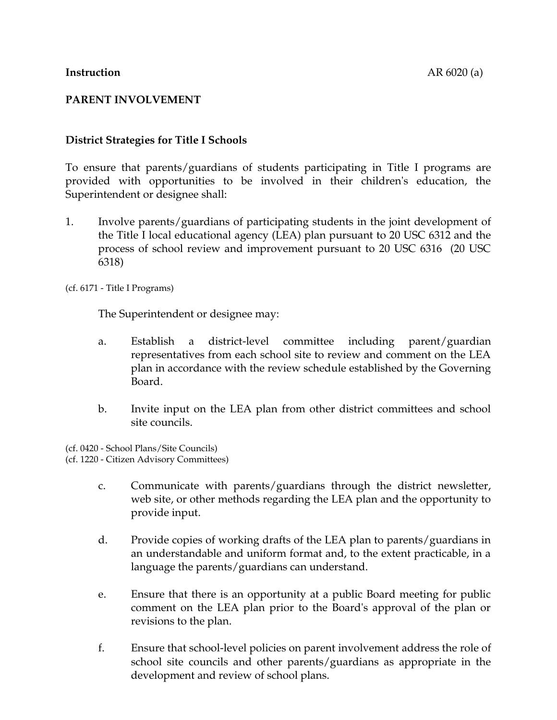# **District Strategies for Title I Schools**

To ensure that parents/guardians of students participating in Title I programs are provided with opportunities to be involved in their children's education, the Superintendent or designee shall:

1. Involve parents/guardians of participating students in the joint development of the Title I local educational agency (LEA) plan pursuant to 20 USC 6312 and the process of school review and improvement pursuant to 20 USC 6316 (20 USC 6318)

(cf. 6171 - Title I Programs)

The Superintendent or designee may:

- a. Establish a district-level committee including parent/guardian representatives from each school site to review and comment on the LEA plan in accordance with the review schedule established by the Governing Board.
- b. Invite input on the LEA plan from other district committees and school site councils.

(cf. 0420 - School Plans/Site Councils) (cf. 1220 - Citizen Advisory Committees)

- c. Communicate with parents/guardians through the district newsletter, web site, or other methods regarding the LEA plan and the opportunity to provide input.
- d. Provide copies of working drafts of the LEA plan to parents/guardians in an understandable and uniform format and, to the extent practicable, in a language the parents/guardians can understand.
- e. Ensure that there is an opportunity at a public Board meeting for public comment on the LEA plan prior to the Board's approval of the plan or revisions to the plan.
- f. Ensure that school-level policies on parent involvement address the role of school site councils and other parents/guardians as appropriate in the development and review of school plans.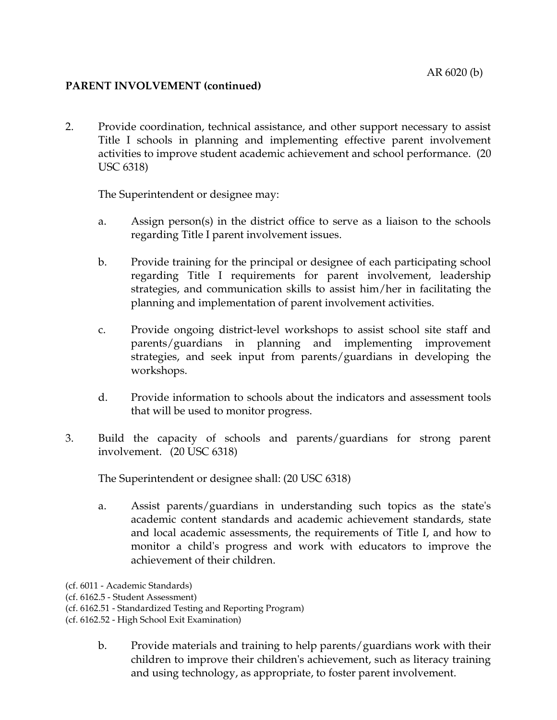2. Provide coordination, technical assistance, and other support necessary to assist Title I schools in planning and implementing effective parent involvement activities to improve student academic achievement and school performance. (20 USC 6318)

The Superintendent or designee may:

- a. Assign person(s) in the district office to serve as a liaison to the schools regarding Title I parent involvement issues.
- b. Provide training for the principal or designee of each participating school regarding Title I requirements for parent involvement, leadership strategies, and communication skills to assist him/her in facilitating the planning and implementation of parent involvement activities.
- c. Provide ongoing district-level workshops to assist school site staff and parents/guardians in planning and implementing improvement strategies, and seek input from parents/guardians in developing the workshops.
- d. Provide information to schools about the indicators and assessment tools that will be used to monitor progress.
- 3. Build the capacity of schools and parents/guardians for strong parent involvement. (20 USC 6318)

The Superintendent or designee shall: (20 USC 6318)

- a. Assist parents/guardians in understanding such topics as the state's academic content standards and academic achievement standards, state and local academic assessments, the requirements of Title I, and how to monitor a child's progress and work with educators to improve the achievement of their children.
- (cf. 6011 Academic Standards)

(cf. 6162.5 - Student Assessment)

(cf. 6162.51 - Standardized Testing and Reporting Program)

(cf. 6162.52 - High School Exit Examination)

b. Provide materials and training to help parents/guardians work with their children to improve their children's achievement, such as literacy training and using technology, as appropriate, to foster parent involvement.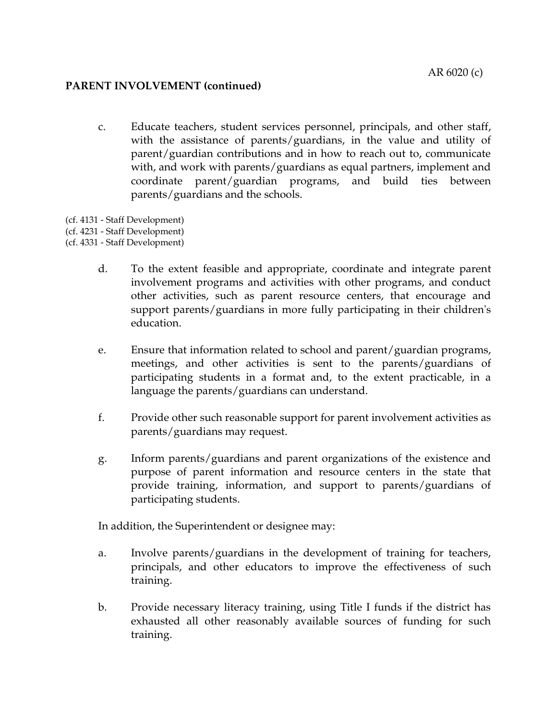- c. Educate teachers, student services personnel, principals, and other staff, with the assistance of parents/guardians, in the value and utility of parent/guardian contributions and in how to reach out to, communicate with, and work with parents/guardians as equal partners, implement and coordinate parent/guardian programs, and build ties between parents/guardians and the schools.
- (cf. 4131 Staff Development)
- (cf. 4231 Staff Development)
- (cf. 4331 Staff Development)
	- d. To the extent feasible and appropriate, coordinate and integrate parent involvement programs and activities with other programs, and conduct other activities, such as parent resource centers, that encourage and support parents/guardians in more fully participating in their children's education.
	- e. Ensure that information related to school and parent/guardian programs, meetings, and other activities is sent to the parents/guardians of participating students in a format and, to the extent practicable, in a language the parents/guardians can understand.
	- f. Provide other such reasonable support for parent involvement activities as parents/guardians may request.
	- g. Inform parents/guardians and parent organizations of the existence and purpose of parent information and resource centers in the state that provide training, information, and support to parents/guardians of participating students.

In addition, the Superintendent or designee may:

- a. Involve parents/guardians in the development of training for teachers, principals, and other educators to improve the effectiveness of such training.
- b. Provide necessary literacy training, using Title I funds if the district has exhausted all other reasonably available sources of funding for such training.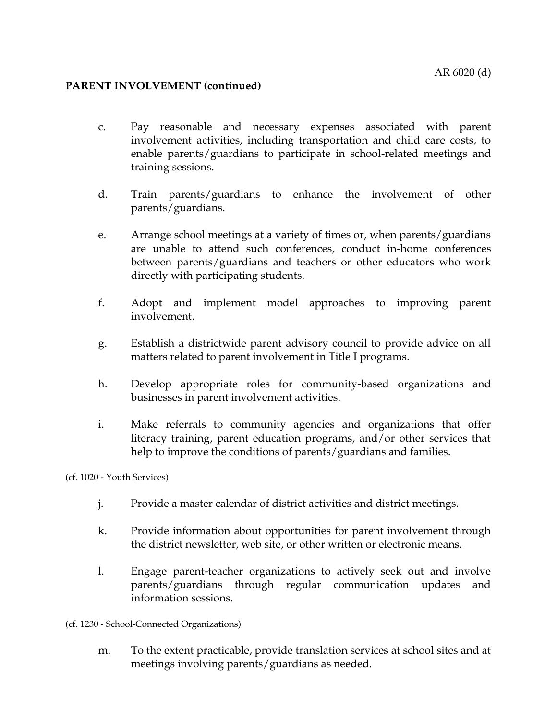- c. Pay reasonable and necessary expenses associated with parent involvement activities, including transportation and child care costs, to enable parents/guardians to participate in school-related meetings and training sessions.
- d. Train parents/guardians to enhance the involvement of other parents/guardians.
- e. Arrange school meetings at a variety of times or, when parents/guardians are unable to attend such conferences, conduct in-home conferences between parents/guardians and teachers or other educators who work directly with participating students.
- f. Adopt and implement model approaches to improving parent involvement.
- g. Establish a districtwide parent advisory council to provide advice on all matters related to parent involvement in Title I programs.
- h. Develop appropriate roles for community-based organizations and businesses in parent involvement activities.
- i. Make referrals to community agencies and organizations that offer literacy training, parent education programs, and/or other services that help to improve the conditions of parents/guardians and families.

(cf. 1020 - Youth Services)

- j. Provide a master calendar of district activities and district meetings.
- k. Provide information about opportunities for parent involvement through the district newsletter, web site, or other written or electronic means.
- l. Engage parent-teacher organizations to actively seek out and involve parents/guardians through regular communication updates and information sessions.

(cf. 1230 - School-Connected Organizations)

m. To the extent practicable, provide translation services at school sites and at meetings involving parents/guardians as needed.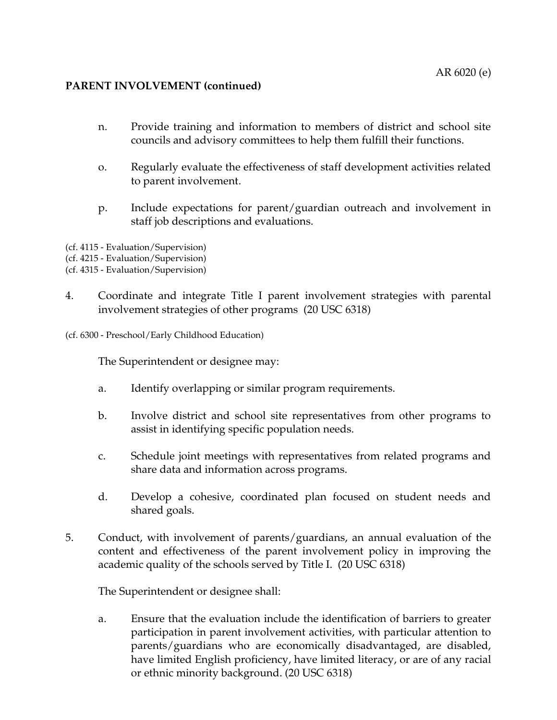- n. Provide training and information to members of district and school site councils and advisory committees to help them fulfill their functions.
- o. Regularly evaluate the effectiveness of staff development activities related to parent involvement.
- p. Include expectations for parent/guardian outreach and involvement in staff job descriptions and evaluations.
- (cf. 4115 Evaluation/Supervision)
- (cf. 4215 Evaluation/Supervision)
- (cf. 4315 Evaluation/Supervision)
- 4. Coordinate and integrate Title I parent involvement strategies with parental involvement strategies of other programs (20 USC 6318)
- (cf. 6300 Preschool/Early Childhood Education)

The Superintendent or designee may:

- a. Identify overlapping or similar program requirements.
- b. Involve district and school site representatives from other programs to assist in identifying specific population needs.
- c. Schedule joint meetings with representatives from related programs and share data and information across programs.
- d. Develop a cohesive, coordinated plan focused on student needs and shared goals.
- 5. Conduct, with involvement of parents/guardians, an annual evaluation of the content and effectiveness of the parent involvement policy in improving the academic quality of the schools served by Title I. (20 USC 6318)

The Superintendent or designee shall:

a. Ensure that the evaluation include the identification of barriers to greater participation in parent involvement activities, with particular attention to parents/guardians who are economically disadvantaged, are disabled, have limited English proficiency, have limited literacy, or are of any racial or ethnic minority background. (20 USC 6318)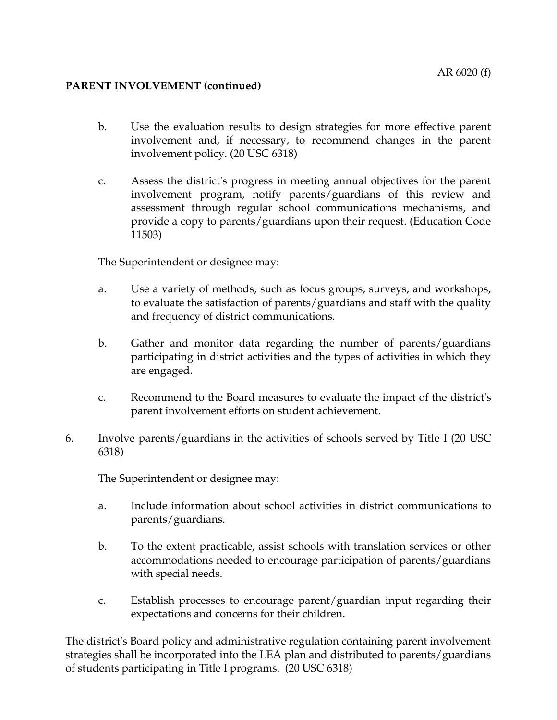- b. Use the evaluation results to design strategies for more effective parent involvement and, if necessary, to recommend changes in the parent involvement policy. (20 USC 6318)
- c. Assess the district's progress in meeting annual objectives for the parent involvement program, notify parents/guardians of this review and assessment through regular school communications mechanisms, and provide a copy to parents/guardians upon their request. (Education Code 11503)

The Superintendent or designee may:

- a. Use a variety of methods, such as focus groups, surveys, and workshops, to evaluate the satisfaction of parents/guardians and staff with the quality and frequency of district communications.
- b. Gather and monitor data regarding the number of parents/guardians participating in district activities and the types of activities in which they are engaged.
- c. Recommend to the Board measures to evaluate the impact of the district's parent involvement efforts on student achievement.
- 6. Involve parents/guardians in the activities of schools served by Title I (20 USC 6318)

The Superintendent or designee may:

- a. Include information about school activities in district communications to parents/guardians.
- b. To the extent practicable, assist schools with translation services or other accommodations needed to encourage participation of parents/guardians with special needs.
- c. Establish processes to encourage parent/guardian input regarding their expectations and concerns for their children.

The district's Board policy and administrative regulation containing parent involvement strategies shall be incorporated into the LEA plan and distributed to parents/guardians of students participating in Title I programs. (20 USC 6318)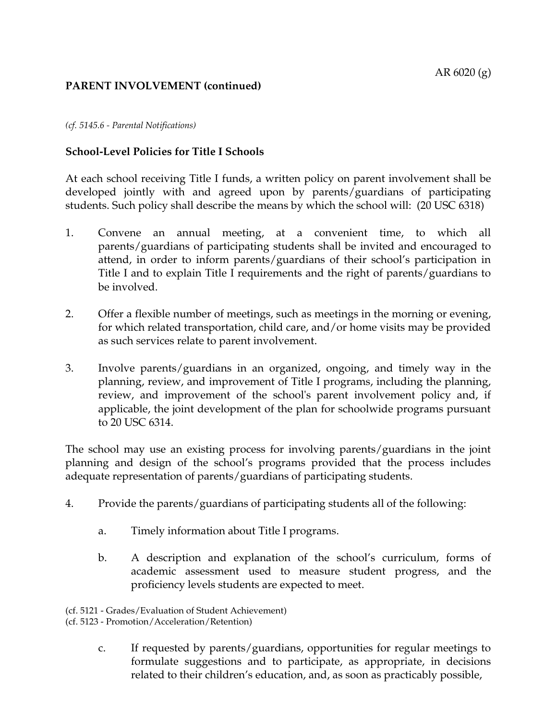#### *(cf. 5145.6 - Parental Notifications)*

# **School-Level Policies for Title I Schools**

At each school receiving Title I funds, a written policy on parent involvement shall be developed jointly with and agreed upon by parents/guardians of participating students. Such policy shall describe the means by which the school will: (20 USC 6318)

- 1. Convene an annual meeting, at a convenient time, to which all parents/guardians of participating students shall be invited and encouraged to attend, in order to inform parents/guardians of their school's participation in Title I and to explain Title I requirements and the right of parents/guardians to be involved.
- 2. Offer a flexible number of meetings, such as meetings in the morning or evening, for which related transportation, child care, and/or home visits may be provided as such services relate to parent involvement.
- 3. Involve parents/guardians in an organized, ongoing, and timely way in the planning, review, and improvement of Title I programs, including the planning, review, and improvement of the school's parent involvement policy and, if applicable, the joint development of the plan for schoolwide programs pursuant to 20 USC 6314.

The school may use an existing process for involving parents/guardians in the joint planning and design of the school's programs provided that the process includes adequate representation of parents/guardians of participating students.

- 4. Provide the parents/guardians of participating students all of the following:
	- a. Timely information about Title I programs.
	- b. A description and explanation of the school's curriculum, forms of academic assessment used to measure student progress, and the proficiency levels students are expected to meet.

c. If requested by parents/guardians, opportunities for regular meetings to formulate suggestions and to participate, as appropriate, in decisions related to their children's education, and, as soon as practicably possible,

<sup>(</sup>cf. 5121 - Grades/Evaluation of Student Achievement)

<sup>(</sup>cf. 5123 - Promotion/Acceleration/Retention)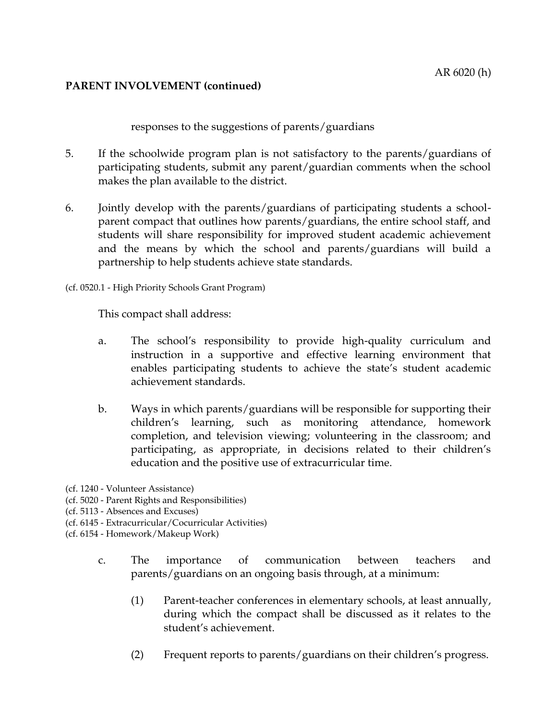responses to the suggestions of parents/guardians

- 5. If the schoolwide program plan is not satisfactory to the parents/guardians of participating students, submit any parent/guardian comments when the school makes the plan available to the district.
- 6. Jointly develop with the parents/guardians of participating students a schoolparent compact that outlines how parents/guardians, the entire school staff, and students will share responsibility for improved student academic achievement and the means by which the school and parents/guardians will build a partnership to help students achieve state standards.

(cf. 0520.1 - High Priority Schools Grant Program)

This compact shall address:

- a. The school's responsibility to provide high-quality curriculum and instruction in a supportive and effective learning environment that enables participating students to achieve the state's student academic achievement standards.
- b. Ways in which parents/guardians will be responsible for supporting their children's learning, such as monitoring attendance, homework completion, and television viewing; volunteering in the classroom; and participating, as appropriate, in decisions related to their children's education and the positive use of extracurricular time.
- (cf. 1240 Volunteer Assistance)
- (cf. 5020 Parent Rights and Responsibilities)
- (cf. 5113 Absences and Excuses)
- (cf. 6145 Extracurricular/Cocurricular Activities)
- (cf. 6154 Homework/Makeup Work)
	- c. The importance of communication between teachers and parents/guardians on an ongoing basis through, at a minimum:
		- (1) Parent-teacher conferences in elementary schools, at least annually, during which the compact shall be discussed as it relates to the student's achievement.
		- (2) Frequent reports to parents/guardians on their children's progress.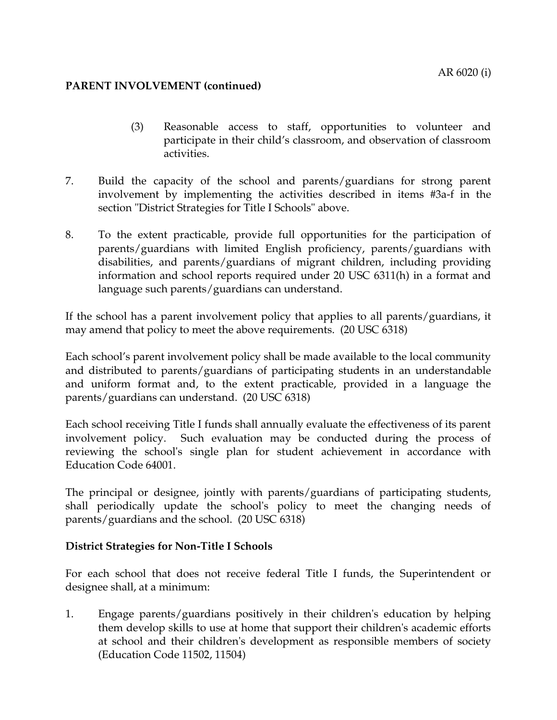- (3) Reasonable access to staff, opportunities to volunteer and participate in their child's classroom, and observation of classroom activities.
- 7. Build the capacity of the school and parents/guardians for strong parent involvement by implementing the activities described in items #3a-f in the section "District Strategies for Title I Schools" above.
- 8. To the extent practicable, provide full opportunities for the participation of parents/guardians with limited English proficiency, parents/guardians with disabilities, and parents/guardians of migrant children, including providing information and school reports required under 20 USC 6311(h) in a format and language such parents/guardians can understand.

If the school has a parent involvement policy that applies to all parents/guardians, it may amend that policy to meet the above requirements. (20 USC 6318)

Each school's parent involvement policy shall be made available to the local community and distributed to parents/guardians of participating students in an understandable and uniform format and, to the extent practicable, provided in a language the parents/guardians can understand. (20 USC 6318)

Each school receiving Title I funds shall annually evaluate the effectiveness of its parent involvement policy. Such evaluation may be conducted during the process of reviewing the school's single plan for student achievement in accordance with Education Code 64001.

The principal or designee, jointly with parents/guardians of participating students, shall periodically update the school's policy to meet the changing needs of parents/guardians and the school. (20 USC 6318)

# **District Strategies for Non-Title I Schools**

For each school that does not receive federal Title I funds, the Superintendent or designee shall, at a minimum:

1. Engage parents/guardians positively in their children's education by helping them develop skills to use at home that support their children's academic efforts at school and their children's development as responsible members of society (Education Code 11502, 11504)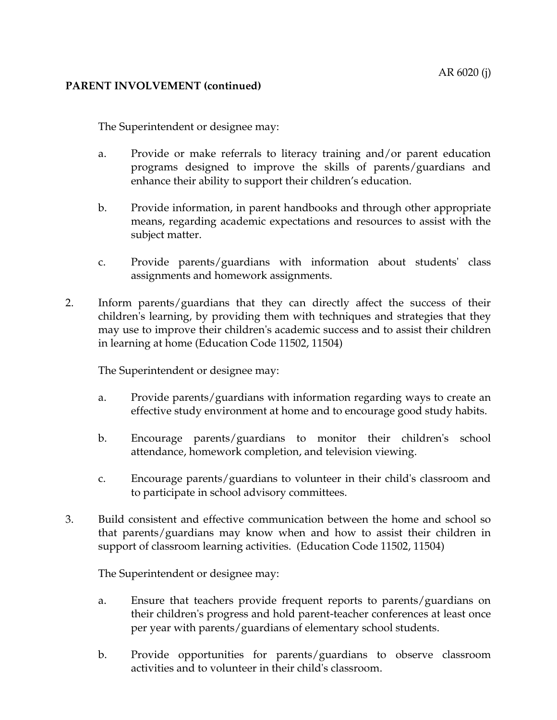The Superintendent or designee may:

- a. Provide or make referrals to literacy training and/or parent education programs designed to improve the skills of parents/guardians and enhance their ability to support their children's education.
- b. Provide information, in parent handbooks and through other appropriate means, regarding academic expectations and resources to assist with the subject matter.
- c. Provide parents/guardians with information about students' class assignments and homework assignments.
- 2. Inform parents/guardians that they can directly affect the success of their children's learning, by providing them with techniques and strategies that they may use to improve their children's academic success and to assist their children in learning at home (Education Code 11502, 11504)

The Superintendent or designee may:

- a. Provide parents/guardians with information regarding ways to create an effective study environment at home and to encourage good study habits.
- b. Encourage parents/guardians to monitor their children's school attendance, homework completion, and television viewing.
- c. Encourage parents/guardians to volunteer in their child's classroom and to participate in school advisory committees.
- 3. Build consistent and effective communication between the home and school so that parents/guardians may know when and how to assist their children in support of classroom learning activities. (Education Code 11502, 11504)

The Superintendent or designee may:

- a. Ensure that teachers provide frequent reports to parents/guardians on their children's progress and hold parent-teacher conferences at least once per year with parents/guardians of elementary school students.
- b. Provide opportunities for parents/guardians to observe classroom activities and to volunteer in their child's classroom.